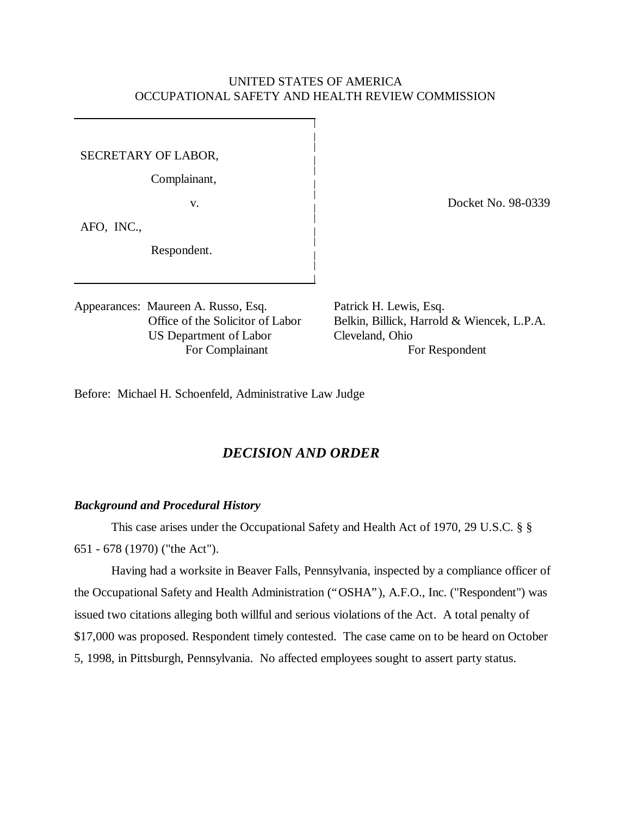## UNITED STATES OF AMERICA OCCUPATIONAL SAFETY AND HEALTH REVIEW COMMISSION

SECRETARY OF LABOR,

Complainant,

AFO, INC.,

Respondent.

Appearances: Maureen A. Russo, Esq. Patrick H. Lewis, Esq. US Department of Labor Cleveland, Ohio

v. Docket No. 98-0339

Office of the Solicitor of Labor Belkin, Billick, Harrold & Wiencek, L.P.A. For Complainant For Respondent

Before: Michael H. Schoenfeld, Administrative Law Judge

# *DECISION AND ORDER*

#### *Background and Procedural History*

This case arises under the Occupational Safety and Health Act of 1970, 29 U.S.C. § §

651 - 678 (1970) ("the Act").

Having had a worksite in Beaver Falls, Pennsylvania, inspected by a compliance officer of the Occupational Safety and Health Administration ("OSHA"), A.F.O., Inc. ("Respondent") was issued two citations alleging both willful and serious violations of the Act. A total penalty of \$17,000 was proposed. Respondent timely contested. The case came on to be heard on October 5, 1998, in Pittsburgh, Pennsylvania. No affected employees sought to assert party status.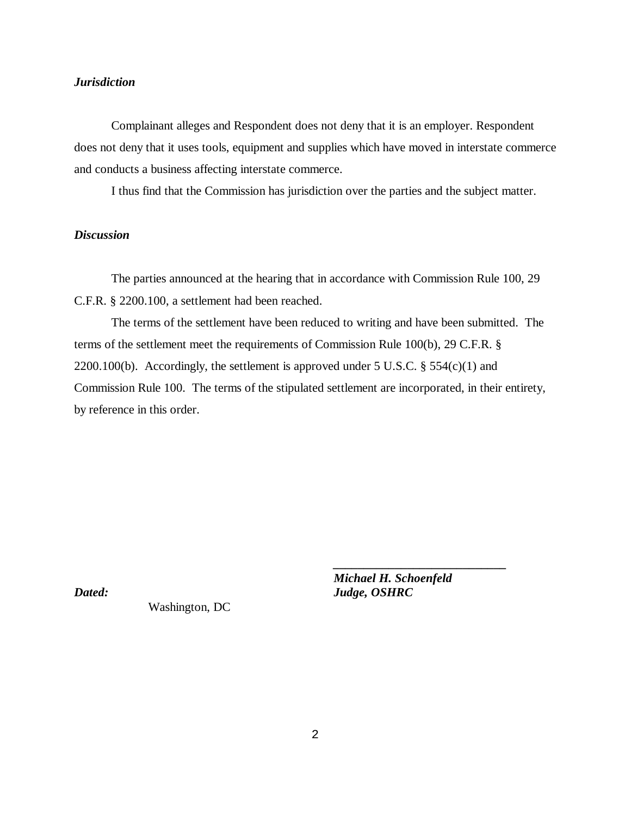## *Jurisdiction*

Complainant alleges and Respondent does not deny that it is an employer. Respondent does not deny that it uses tools, equipment and supplies which have moved in interstate commerce and conducts a business affecting interstate commerce.

I thus find that the Commission has jurisdiction over the parties and the subject matter.

## *Discussion*

The parties announced at the hearing that in accordance with Commission Rule 100, 29 C.F.R. § 2200.100, a settlement had been reached.

The terms of the settlement have been reduced to writing and have been submitted. The terms of the settlement meet the requirements of Commission Rule 100(b), 29 C.F.R. § 2200.100(b). Accordingly, the settlement is approved under 5 U.S.C.  $\S$  554(c)(1) and Commission Rule 100. The terms of the stipulated settlement are incorporated, in their entirety, by reference in this order.

Washington, DC

*Michael H. Schoenfeld Dated: Judge, OSHRC*

*\_\_\_\_\_\_\_\_\_\_\_\_\_\_\_\_\_\_\_\_\_\_\_\_\_\_\_\_*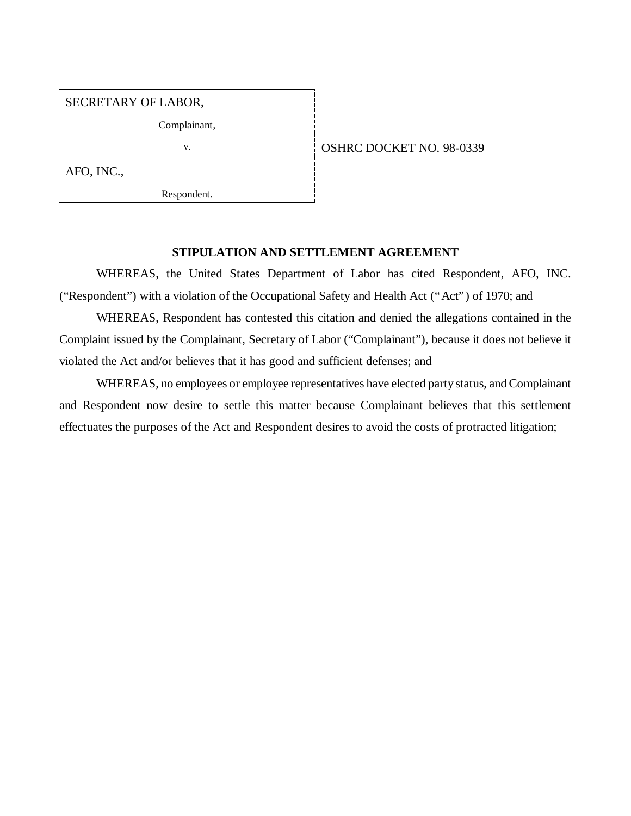SECRETARY OF LABOR,

Complainant,

v. 6 0SHRC DOCKET NO. 98-0339

AFO, INC.,

Respondent.

#### **STIPULATION AND SETTLEMENT AGREEMENT**

WHEREAS, the United States Department of Labor has cited Respondent, AFO, INC. ("Respondent") with a violation of the Occupational Safety and Health Act ("Act") of 1970; and

WHEREAS, Respondent has contested this citation and denied the allegations contained in the Complaint issued by the Complainant, Secretary of Labor ("Complainant"), because it does not believe it violated the Act and/or believes that it has good and sufficient defenses; and

WHEREAS, no employees or employee representatives have elected party status, and Complainant and Respondent now desire to settle this matter because Complainant believes that this settlement effectuates the purposes of the Act and Respondent desires to avoid the costs of protracted litigation;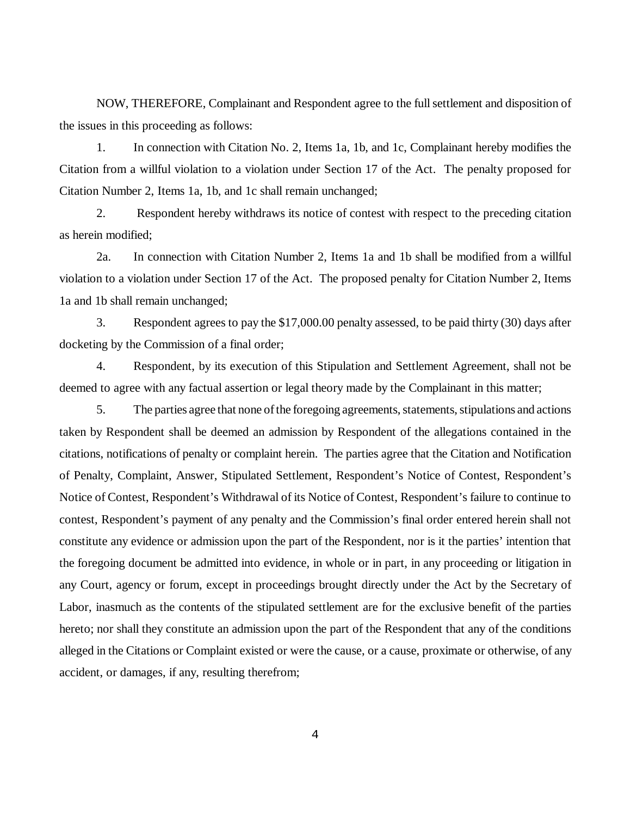NOW, THEREFORE, Complainant and Respondent agree to the full settlement and disposition of the issues in this proceeding as follows:

1. In connection with Citation No. 2, Items 1a, 1b, and 1c, Complainant hereby modifies the Citation from a willful violation to a violation under Section 17 of the Act. The penalty proposed for Citation Number 2, Items 1a, 1b, and 1c shall remain unchanged;

2. Respondent hereby withdraws its notice of contest with respect to the preceding citation as herein modified;

2a. In connection with Citation Number 2, Items 1a and 1b shall be modified from a willful violation to a violation under Section 17 of the Act. The proposed penalty for Citation Number 2, Items 1a and 1b shall remain unchanged;

3. Respondent agrees to pay the \$17,000.00 penalty assessed, to be paid thirty (30) days after docketing by the Commission of a final order;

4. Respondent, by its execution of this Stipulation and Settlement Agreement, shall not be deemed to agree with any factual assertion or legal theory made by the Complainant in this matter;

5. The parties agree that none of the foregoing agreements, statements, stipulations and actions taken by Respondent shall be deemed an admission by Respondent of the allegations contained in the citations, notifications of penalty or complaint herein. The parties agree that the Citation and Notification of Penalty, Complaint, Answer, Stipulated Settlement, Respondent's Notice of Contest, Respondent's Notice of Contest, Respondent's Withdrawal of its Notice of Contest, Respondent's failure to continue to contest, Respondent's payment of any penalty and the Commission's final order entered herein shall not constitute any evidence or admission upon the part of the Respondent, nor is it the parties' intention that the foregoing document be admitted into evidence, in whole or in part, in any proceeding or litigation in any Court, agency or forum, except in proceedings brought directly under the Act by the Secretary of Labor, inasmuch as the contents of the stipulated settlement are for the exclusive benefit of the parties hereto; nor shall they constitute an admission upon the part of the Respondent that any of the conditions alleged in the Citations or Complaint existed or were the cause, or a cause, proximate or otherwise, of any accident, or damages, if any, resulting therefrom;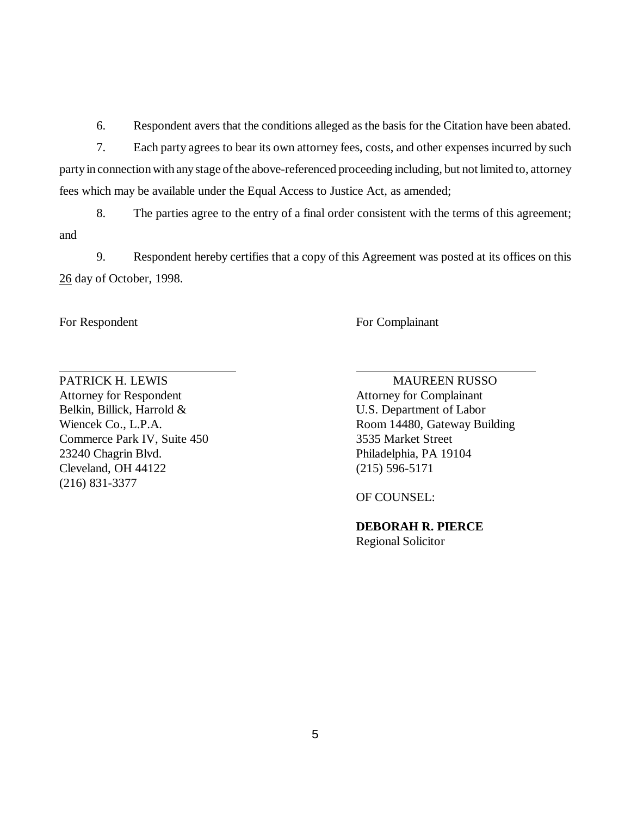6. Respondent avers that the conditions alleged as the basis for the Citation have been abated.

7. Each party agrees to bear its own attorney fees, costs, and other expenses incurred by such party in connection with any stage of the above-referenced proceeding including, but not limited to, attorney fees which may be available under the Equal Access to Justice Act, as amended;

8. The parties agree to the entry of a final order consistent with the terms of this agreement; and

9. Respondent hereby certifies that a copy of this Agreement was posted at its offices on this 26 day of October, 1998.

 $\overline{a}$ 

For Respondent For Complainant

Attorney for Respondent Attorney for Complainant Belkin, Billick, Harrold & U.S. Department of Labor Commerce Park IV, Suite 450 3535 Market Street 23240 Chagrin Blvd. Philadelphia, PA 19104 Cleveland, OH 44122 (215) 596-5171 (216) 831-3377

PATRICK H. LEWIS MAUREEN RUSSO Wiencek Co., L.P.A. Room 14480, Gateway Building

OF COUNSEL:

**DEBORAH R. PIERCE** Regional Solicitor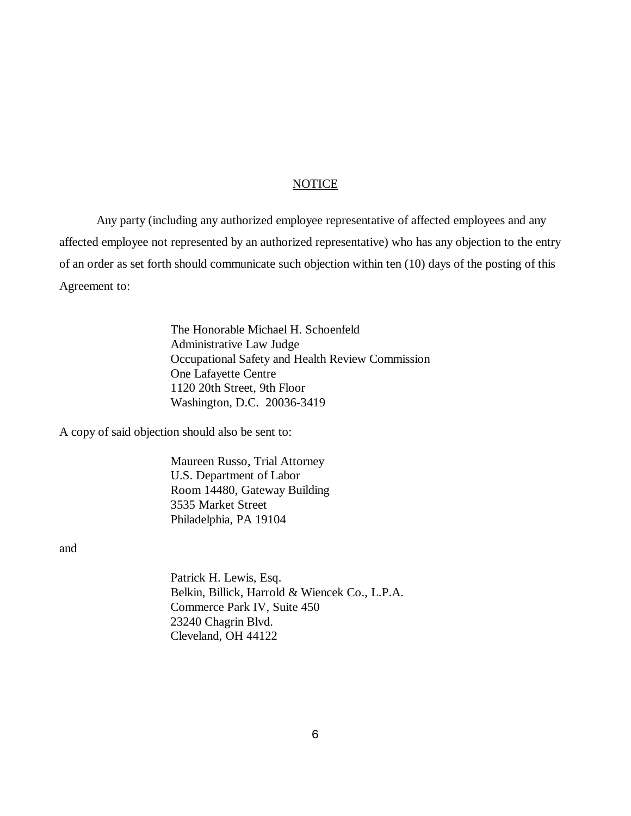#### NOTICE

Any party (including any authorized employee representative of affected employees and any affected employee not represented by an authorized representative) who has any objection to the entry of an order as set forth should communicate such objection within ten (10) days of the posting of this Agreement to:

> The Honorable Michael H. Schoenfeld Administrative Law Judge Occupational Safety and Health Review Commission One Lafayette Centre 1120 20th Street, 9th Floor Washington, D.C. 20036-3419

A copy of said objection should also be sent to:

Maureen Russo, Trial Attorney U.S. Department of Labor Room 14480, Gateway Building 3535 Market Street Philadelphia, PA 19104

and

Patrick H. Lewis, Esq. Belkin, Billick, Harrold & Wiencek Co., L.P.A. Commerce Park IV, Suite 450 23240 Chagrin Blvd. Cleveland, OH 44122